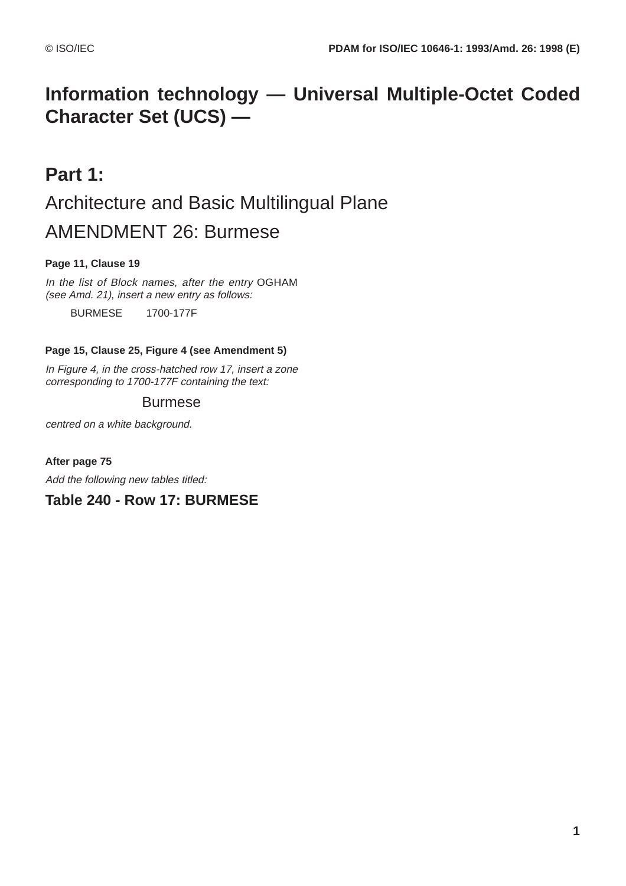# **Information technology — Universal Multiple-Octet Coded Character Set (UCS) —**

# **Part 1:** Architecture and Basic Multilingual Plane AMENDMENT 26: Burmese

## **Page 11, Clause 19**

In the list of Block names, after the entry OGHAM (see Amd. 21), insert a new entry as follows:

BURMESE 1700-177F

## **Page 15, Clause 25, Figure 4 (see Amendment 5)**

In Figure 4, in the cross-hatched row 17, insert a zone corresponding to 1700-177F containing the text:

# Burmese

centred on a white background.

## **After page 75**

Add the following new tables titled:

# **Table 240 - Row 17: BURMESE**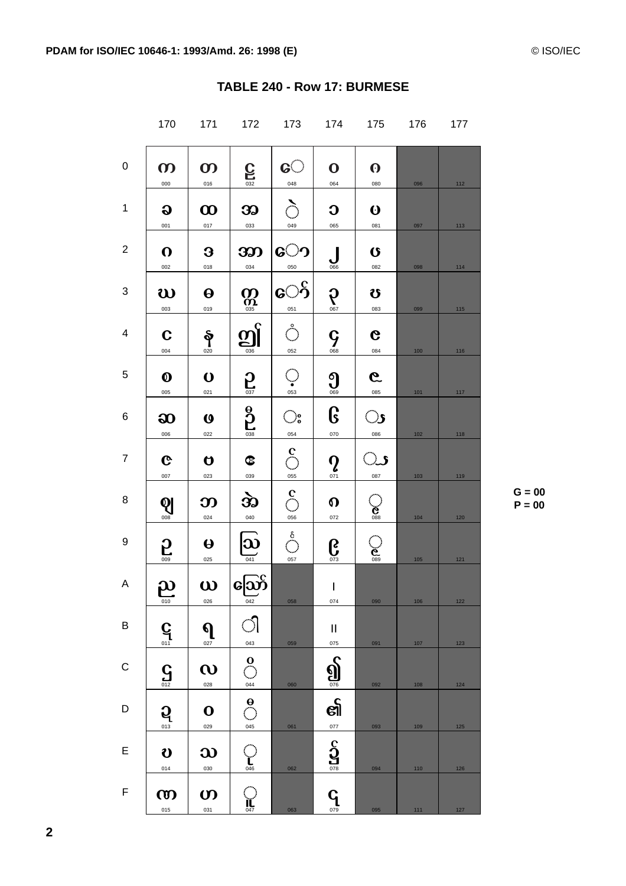|                | 170                          | 171                          | 172                     | 173                             | 174                                 | 175                          | 176   | 177   |
|----------------|------------------------------|------------------------------|-------------------------|---------------------------------|-------------------------------------|------------------------------|-------|-------|
| 0              | $\boldsymbol{\omega}$<br>000 | $\boldsymbol{\omega}$<br>016 | $C_{\frac{032}{}}$      | <u>େ</u><br>048                 | $\mathbf 0$<br>064                  | $\boldsymbol{\Theta}$<br>080 | 096   | 112   |
| 1              | $\bf{Q}$<br>001              | $\boldsymbol{\omega}$<br>017 | 32<br>033               | $\sum_{i=1}^{n}$<br>049         | C<br>065                            | $\boldsymbol{\omega}$<br>081 | 097   | 113   |
| $\mathbf{2}$   | $\Omega$<br>002              | 3<br>018                     | 300<br>034              | <b>േ</b><br>050                 | $\int_{\frac{066}{}}$               | $\mathbf G$<br>082           | 098   | 114   |
| 3              | <u>ဃ</u><br>003              | $\boldsymbol{\Theta}$<br>019 | $\sum_{\text{OSD}}$     | ော်<br>051                      | $\Omega$ <sub>067</sub>             | U<br>083                     | 099   | 115   |
| 4              | $\mathbf C$<br>004           | န<br>020                     | ဤ<br>036                | $\frac{1}{2}$<br>052            |                                     | G<br>084                     | 100   | 116   |
| 5              | $\boldsymbol{\Omega}$<br>005 | $\mathbf O$<br>021           | $\sum_{037}$            | $\bigcirc$ <sub>053</sub>       | $\sum_{\circ\circ\circ}$            | $\mathcal{G}$<br>085         | 101   | $117$ |
| 6              | ဆ<br>006                     | $\boldsymbol{\omega}$<br>022 | $\frac{6}{100}$         | $\mathbb{O}^\circ_\circ$<br>054 | G<br>070                            | <u>ာ</u><br>086              | $102$ | 118   |
| $\overline{7}$ | $\mathbf{C}$<br>007          | O<br>023                     | $\bullet$<br>039        | $\bigodot^{\mathbf{C}}$<br>055  | $\Omega$ <sub>071</sub>             | ্য<br>087                    | 103   | 119   |
| 8              | $Q_{\frac{008}{}}$           | ဘ<br>024                     | À)<br>040               | $rac{c}{\sqrt{c}}$              | $\Omega$<br>072                     | $\sum_{\circ\text{ss}}$      | 104   | 120   |
| 9              | $\overline{\mathbf{S}}$      | $\boldsymbol{\Theta}$<br>025 | $\overline{\mathbf{w}}$ | $\bigcirc^{\!\!\!\circ}$<br>057 | $\mathbf{G}$                        | $\mathbf{e}$                 | 105   | 121   |
| A              | ור<br>س<br>010               | $\bullet$<br>026             | ညြော်<br>042            | 058                             | $\mathbf{I}$<br>074                 | 090                          | 106   | 122   |
| B              | $\mathbf{G}$ <sub>011</sub>  | ရ<br>027                     | $\bigcirc$<br>043       | 059                             | П<br>075                            | 091                          | 107   | 123   |
| $\mathsf C$    | $\mathbf{G}$ <sub>012</sub>  | $\boldsymbol{\omega}$<br>028 | ိ<br>044                | 060                             | $\sum_{\circ\infty}$                | 092                          | 108   | 124   |
| D              | $\mathbf{Q}$<br>013          | $\mathbf 0$<br>029           | $\frac{9}{2}$<br>045    | 061                             | ର୍ଶ<br>077                          | 093                          | 109   | 125   |
| E              | U<br>014                     | $\boldsymbol{\omega}$<br>030 | $\sum_{0.46}$           | 062                             | $\frac{c}{\frac{S}{\frac{078}{2}}}$ | 094                          | 110   | 126   |
| F              | ത<br>015                     | $\boldsymbol{\omega}$<br>031 | $\prod_{047}$           | 063                             | 079                                 | 095                          | 111   | 127   |

#### TABLE 240 - Row 17: BURMESE

 $P = 00$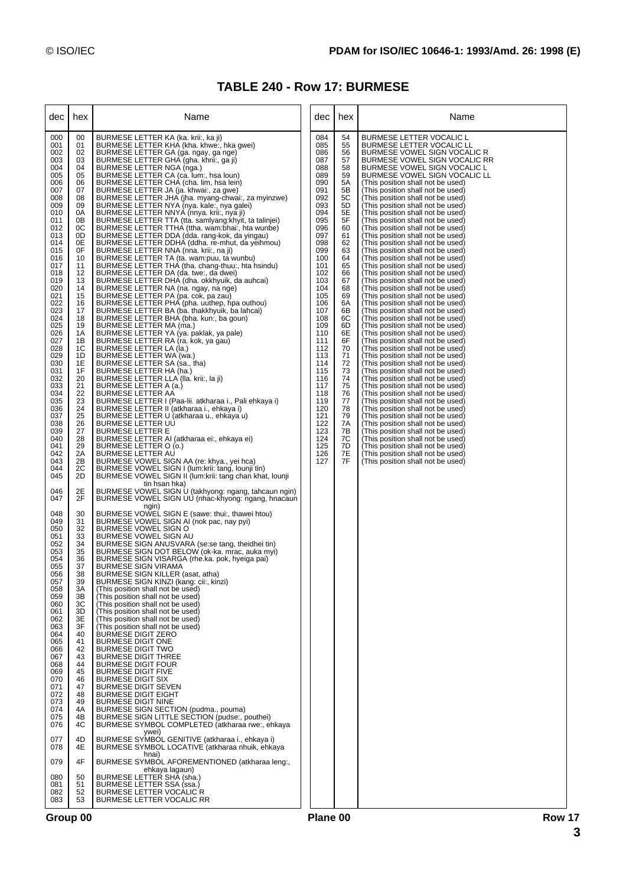### **TABLE 240 - Row 17: BURMESE**

| dec                                                                                                                                                                                                                                                                                                                            | hex                                                                                                                                                                                                                                                                              | Name                                                                                                                                                                                                                                                                                                                                                                                                                                                                                                                                                                                                                                                                                                                                                                                                                                                                                                                                                                                                                                                                                                                                                                                                                                                                                                                                                                                                                                                                                                                                                                                                                                                                                                                                                                                                                                                                                                                                                                   | dec                                                                                                                                                                                                                                                                                                              | hex                                                                                                                                                                                                                                                                  | Name                                                                                                                                                                                                                                                                                                                                                                                                                                                                                                                                                                                                                                                                                                                                                                                                                                                                                                                                                                                                                                                                                                                                                                                                                                                                                                                                                                                                                                                                                                                                                                                                                                                                |
|--------------------------------------------------------------------------------------------------------------------------------------------------------------------------------------------------------------------------------------------------------------------------------------------------------------------------------|----------------------------------------------------------------------------------------------------------------------------------------------------------------------------------------------------------------------------------------------------------------------------------|------------------------------------------------------------------------------------------------------------------------------------------------------------------------------------------------------------------------------------------------------------------------------------------------------------------------------------------------------------------------------------------------------------------------------------------------------------------------------------------------------------------------------------------------------------------------------------------------------------------------------------------------------------------------------------------------------------------------------------------------------------------------------------------------------------------------------------------------------------------------------------------------------------------------------------------------------------------------------------------------------------------------------------------------------------------------------------------------------------------------------------------------------------------------------------------------------------------------------------------------------------------------------------------------------------------------------------------------------------------------------------------------------------------------------------------------------------------------------------------------------------------------------------------------------------------------------------------------------------------------------------------------------------------------------------------------------------------------------------------------------------------------------------------------------------------------------------------------------------------------------------------------------------------------------------------------------------------------|------------------------------------------------------------------------------------------------------------------------------------------------------------------------------------------------------------------------------------------------------------------------------------------------------------------|----------------------------------------------------------------------------------------------------------------------------------------------------------------------------------------------------------------------------------------------------------------------|---------------------------------------------------------------------------------------------------------------------------------------------------------------------------------------------------------------------------------------------------------------------------------------------------------------------------------------------------------------------------------------------------------------------------------------------------------------------------------------------------------------------------------------------------------------------------------------------------------------------------------------------------------------------------------------------------------------------------------------------------------------------------------------------------------------------------------------------------------------------------------------------------------------------------------------------------------------------------------------------------------------------------------------------------------------------------------------------------------------------------------------------------------------------------------------------------------------------------------------------------------------------------------------------------------------------------------------------------------------------------------------------------------------------------------------------------------------------------------------------------------------------------------------------------------------------------------------------------------------------------------------------------------------------|
| 000<br>001<br>002<br>003<br>004<br>005<br>006<br>007<br>008<br>009<br>010<br>011<br>012<br>013<br>014<br>015<br>016<br>017<br>018<br>019<br>020<br>021<br>022<br>023<br>024<br>025<br>026<br>027<br>028<br>029<br>030<br>031<br>032<br>033<br>034<br>035<br>036<br>037<br>038<br>039<br>040<br>041<br>042<br>043<br>044<br>045 | 00<br>01<br>02<br>03<br>04<br>05<br>06<br>07<br>08<br>09<br>0A<br>0B<br>0C<br>0D<br>0E<br>0F<br>10<br>11<br>12<br>13<br>14<br>15<br>16<br>17<br>18<br>19<br>1A<br>1B<br>1C<br>1D<br>1E<br>1F<br>20<br>21<br>22<br>23<br>24<br>25<br>26<br>27<br>28<br>29<br>2A<br>2B<br>2C<br>2D | BURMESE LETTER KA (ka. krii:, ka ji)<br>BURMESE LETTER KHA (kha. khwe:, hka gwei)<br>BURMESE LETTER GA (ga. ngay, ga nge)<br>BURMESE LETTER GHA (gha. khrii:, ga ji)<br>BURMESE LETTER NGA (nga.)<br>BURMESE LETTER CA (ca. lum:, hsa loun)<br>BURMESE LETTER CHA (cha. lim, hsa lein)<br>BURMESE LETTER JA (ja. khwai:, za gwe)<br>BURMESE LETTER JHA (jha. myang-chwai:, za myinzwe)<br>BURMESE LETTER NYA (nya. kale:, nya galei)<br>BURMESE LETTER NNYA (nnya. krii:, nya ji)<br>BURMESE LETTER TTA (tta. samlyang: khyit, ta talinjei)<br>BURMESE LETTER TTHA (ttha. wam:bhai:, hta wunbe)<br>BURMESE LETTER DDA (dda. rang-kok, da yingau)<br>BURMESE LETTER DDHA (ddha. re-mhut, da yeihmou)<br>BURMESE LETTER NNA (nna. krii:, na ji)<br>BURMESE LETTER TA (ta. wam:puu, ta wunbu)<br>BURMESE LETTER THA (tha. chang-thuu:, hta hsindu)<br>BURMESE LETTER DA (da. twe:, da dwei)<br>BURMESE LETTER DHA (dha. okkhyuik, da auhcai)<br>BURMESE LETTER NA (na. ngay, na nge)<br>BURMESE LETTER PA (pa. cok, pa zau)<br>BURMESE LETTER PHA (pha. uuthep, hpa outhou)<br>BURMESE LETTER BA (ba. thakkhyuik, ba lahcai)<br>BURMESE LETTER BHA (bha. kun:, ba goun)<br>BURMESE LETTER MA (ma.)<br>BURMESE LETTER YA (ya. paklak, ya pale)<br>BURMESE LETTER RA (ra. kok, ya gau)<br>BURMESE LETTER LA (la.)<br>BURMESE LETTER WA (wa.)<br>BURMESE LETTER SA (sa., tha)<br>BURMESE LETTER HA (ha.)<br>BURMESE LETTER LLA (Ila. krii:, la ji)<br>BURMESE LETTER A (a.)<br><b>BURMESE LETTER AA</b><br>BURMESE LETTER I (Paa-lii. atkharaa i., Pali ehkaya i)<br>BURMESE LETTER II (atkharaa i., ehkaya i)<br>BURMESE LETTER U (atkharaa u., ehkaya u)<br>BURMESE LETTER UU<br><b>BURMESE LETTER E</b><br>BURMESE LETTER AI (atkharaa ei:, ehkaya ei)<br>BURMESE LETTER O (o.)<br><b>BURMESE LETTER AU</b><br>BURMESE VOWEL SIGN AA (re: khya., yei hca)<br>BURMESE VOWEL SIGN I (lum:krii: tang, lounji tin)<br>BURMESE VOWEL SIGN II (lum:krii: tang chan khat, lounji | 084<br>085<br>086<br>087<br>088<br>089<br>090<br>091<br>092<br>093<br>094<br>095<br>096<br>097<br>098<br>099<br>100<br>101<br>102<br>103<br>104<br>105<br>106<br>107<br>108<br>109<br>110<br>111<br>112<br>113<br>114<br>115<br>116<br>117<br>118<br>119<br>120<br>121<br>122<br>123<br>124<br>125<br>126<br>127 | 54<br>55<br>56<br>57<br>58<br>59<br>5A<br>5B<br>5C<br>5D<br>5E<br>5F<br>60<br>61<br>62<br>63<br>64<br>65<br>66<br>67<br>68<br>69<br>6A<br>6B<br>6C<br>6D<br>6E<br>6F<br>70<br>71<br>72<br>73<br>74<br>75<br>76<br>77<br>78<br>79<br>7A<br>7В<br>7C<br>7D<br>7Е<br>7F | <b>BURMESE LETTER VOCALIC L</b><br><b>BURMESE LETTER VOCALIC LL</b><br>BURMESE VOWEL SIGN VOCALIC R<br>BURMESE VOWEL SIGN VOCALIC RR<br>BURMESE VOWEL SIGN VOCALIC L<br>BURMESE VOWEL SIGN VOCALIC LL<br>(This position shall not be used)<br>(This position shall not be used)<br>(This position shall not be used)<br>(This position shall not be used)<br>(This position shall not be used)<br>(This position shall not be used)<br>(This position shall not be used)<br>(This position shall not be used)<br>(This position shall not be used)<br>(This position shall not be used)<br>(This position shall not be used)<br>(This position shall not be used)<br>(This position shall not be used)<br>(This position shall not be used)<br>(This position shall not be used)<br>(This position shall not be used)<br>(This position shall not be used)<br>(This position shall not be used)<br>(This position shall not be used)<br>(This position shall not be used)<br>(This position shall not be used)<br>(This position shall not be used)<br>(This position shall not be used)<br>(This position shall not be used)<br>(This position shall not be used)<br>(This position shall not be used)<br>(This position shall not be used)<br>(This position shall not be used)<br>(This position shall not be used)<br>(This position shall not be used)<br>(This position shall not be used)<br>(This position shall not be used)<br>(This position shall not be used)<br>(This position shall not be used)<br>(This position shall not be used)<br>(This position shall not be used)<br>(This position shall not be used)<br>(This position shall not be used) |
| 046<br>047                                                                                                                                                                                                                                                                                                                     | 2E<br>2F                                                                                                                                                                                                                                                                         | tin hsan hka)<br>BURMESE VOWEL SIGN U (takhyong: ngang, tahcaun ngin)<br>BURMESE VOWEL SIGN UU (nhac-khyong: ngang, hnacaun<br>ngin)                                                                                                                                                                                                                                                                                                                                                                                                                                                                                                                                                                                                                                                                                                                                                                                                                                                                                                                                                                                                                                                                                                                                                                                                                                                                                                                                                                                                                                                                                                                                                                                                                                                                                                                                                                                                                                   |                                                                                                                                                                                                                                                                                                                  |                                                                                                                                                                                                                                                                      |                                                                                                                                                                                                                                                                                                                                                                                                                                                                                                                                                                                                                                                                                                                                                                                                                                                                                                                                                                                                                                                                                                                                                                                                                                                                                                                                                                                                                                                                                                                                                                                                                                                                     |
| 048<br>049<br>050<br>051<br>052<br>053<br>054<br>055<br>056<br>057<br>058<br>059<br>060<br>061<br>062<br>063<br>064<br>065<br>066<br>067<br>068<br>069<br>070<br>071<br>072<br>073<br>074<br>075<br>076                                                                                                                        | 30<br>31<br>32<br>33<br>34<br>35<br>36<br>37<br>38<br>39<br>3A<br>3B<br>3C<br>3D<br>3E<br>3F<br>40<br>41<br>42<br>43<br>44<br>45<br>46<br>47<br>48<br>49<br>4A<br>4B<br>4C                                                                                                       | BURMESE VOWEL SIGN E (sawe: thui:, thawei htou)<br>BURMESE VOWEL SIGN AI (nok pac, nay pyi)<br>BURMESE VOWEL SIGN O<br>BURMESE VOWEL SIGN AU<br>BURMESE SIGN ANUSVARA (se:se tang, theidhei tin)<br>BURMESE SIGN DOT BELOW (ok-ka. mrac, auka myi)<br>BURMESE SIGN VISARGA (rhe.ka. pok, hyeiga pai)<br><b>BURMESE SIGN VIRAMA</b><br>BURMESE SIGN KILLER (asat, atha)<br>BURMESE SIGN KINZI (kang: cii:, kinzi)<br>(This position shall not be used)<br>(This position shall not be used)<br>(This position shall not be used)<br>(This position shall not be used)<br>(This position shall not be used)<br>(This position shall not be used)<br><b>BURMESE DIGIT ZERO</b><br><b>BURMESE DIGIT ONE</b><br><b>BURMESE DIGIT TWO</b><br><b>BURMESE DIGIT THREE</b><br><b>BURMESE DIGIT FOUR</b><br><b>BURMESE DIGIT FIVE</b><br><b>BURMESE DIGIT SIX</b><br><b>BURMESE DIGIT SEVEN</b><br><b>BURMESE DIGIT EIGHT</b><br><b>BURMESE DIGIT NINE</b><br>BURMESE SIGN SECTION (pudma., pouma)<br>BURMESE SIGN LITTLE SECTION (pudse:, pouthei)<br>BURMESE SYMBOL COMPLETED (atkharaa rwe:, ehkaya<br>ywei)                                                                                                                                                                                                                                                                                                                                                                                                                                                                                                                                                                                                                                                                                                                                                                                                                                                                  |                                                                                                                                                                                                                                                                                                                  |                                                                                                                                                                                                                                                                      |                                                                                                                                                                                                                                                                                                                                                                                                                                                                                                                                                                                                                                                                                                                                                                                                                                                                                                                                                                                                                                                                                                                                                                                                                                                                                                                                                                                                                                                                                                                                                                                                                                                                     |
| 077<br>078                                                                                                                                                                                                                                                                                                                     | 4D<br>4E                                                                                                                                                                                                                                                                         | BURMESE SYMBOL GENITIVE (atkharaa i., ehkaya i)<br>BURMESE SYMBOL LOCATIVE (atkharaa nhuik, ehkaya<br>hnai)                                                                                                                                                                                                                                                                                                                                                                                                                                                                                                                                                                                                                                                                                                                                                                                                                                                                                                                                                                                                                                                                                                                                                                                                                                                                                                                                                                                                                                                                                                                                                                                                                                                                                                                                                                                                                                                            |                                                                                                                                                                                                                                                                                                                  |                                                                                                                                                                                                                                                                      |                                                                                                                                                                                                                                                                                                                                                                                                                                                                                                                                                                                                                                                                                                                                                                                                                                                                                                                                                                                                                                                                                                                                                                                                                                                                                                                                                                                                                                                                                                                                                                                                                                                                     |
| 079<br>080<br>081<br>082<br>083                                                                                                                                                                                                                                                                                                | 4F<br>50<br>51<br>52<br>53                                                                                                                                                                                                                                                       | BURMESE SYMBÓL AFOREMENTIONED (atkharaa leng:,<br>ehkaya lagaun)<br>BURMESE LETTER SHA (sha.)<br><b>BURMESE LETTER SSA (ssa.)</b><br><b>BURMESE LETTER VOCALIC R</b><br><b>BURMESE LETTER VOCALIC RR</b>                                                                                                                                                                                                                                                                                                                                                                                                                                                                                                                                                                                                                                                                                                                                                                                                                                                                                                                                                                                                                                                                                                                                                                                                                                                                                                                                                                                                                                                                                                                                                                                                                                                                                                                                                               |                                                                                                                                                                                                                                                                                                                  |                                                                                                                                                                                                                                                                      |                                                                                                                                                                                                                                                                                                                                                                                                                                                                                                                                                                                                                                                                                                                                                                                                                                                                                                                                                                                                                                                                                                                                                                                                                                                                                                                                                                                                                                                                                                                                                                                                                                                                     |